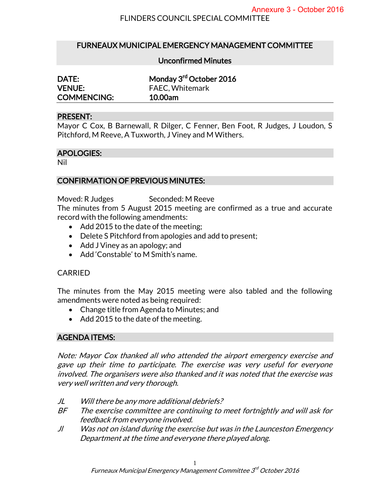# FURNEAUX MUNICIPAL EMERGENCY MANAGEMENT COMMITTEE

#### Unconfirmed Minutes

| DATE:              | Monday 3rd October 2016 |
|--------------------|-------------------------|
| <b>VENUE:</b>      | <b>FAEC, Whitemark</b>  |
| <b>COMMENCING:</b> | 10.00am                 |

#### PRESENT:

Mayor C Cox, B Barnewall, R Dilger, C Fenner, Ben Foot, R Judges, J Loudon, S Pitchford, M Reeve, A Tuxworth, J Viney and M Withers.

#### APOLOGIES:

Nil

# CONFIRMATION OF PREVIOUS MINUTES:

Moved: R Judges Seconded: M Reeve

The minutes from 5 August 2015 meeting are confirmed as a true and accurate record with the following amendments:

- Add 2015 to the date of the meeting;
- Delete S Pitchford from apologies and add to present;
- Add J Viney as an apology; and
- Add 'Constable' to M Smith's name.

# CARRIED

The minutes from the May 2015 meeting were also tabled and the following amendments were noted as being required:

- Change title from Agenda to Minutes; and
- Add 2015 to the date of the meeting.

# AGENDA ITEMS:

Note: Mayor Cox thanked all who attended the airport emergency exercise and gave up their time to participate. The exercise was very useful for everyone involved. The organisers were also thanked and it was noted that the exercise was very well written and very thorough.

- JL Will there be any more additional debriefs?
- BF The exercise committee are continuing to meet fortnightly and will ask for feedback from everyone involved.
- Jl Was not on island during the exercise but was in the Launceston Emergency Department at the time and everyone there played along.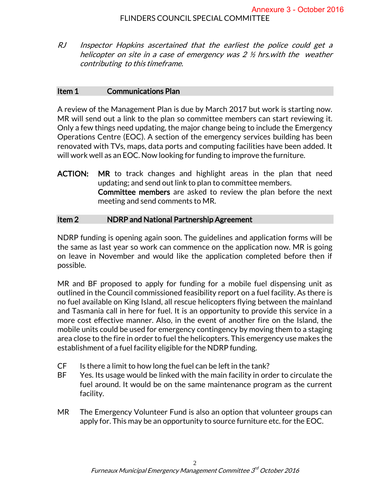RJ Inspector Hopkins ascertained that the earliest the police could get a helicopter on site in a case of emergency was 2 ½ hrs.with the weather contributing to this timeframe.

### Item 1 Communications Plan

A review of the Management Plan is due by March 2017 but work is starting now. MR will send out a link to the plan so committee members can start reviewing it. Only a few things need updating, the major change being to include the Emergency Operations Centre (EOC). A section of the emergency services building has been renovated with TVs, maps, data ports and computing facilities have been added. It will work well as an EOC. Now looking for funding to improve the furniture.

ACTION: MR to track changes and highlight areas in the plan that need updating; and send out link to plan to committee members. Committee members are asked to review the plan before the next meeting and send comments to MR.

# Item 2 NDRP and National Partnership Agreement

NDRP funding is opening again soon. The guidelines and application forms will be the same as last year so work can commence on the application now. MR is going on leave in November and would like the application completed before then if possible.

MR and BF proposed to apply for funding for a mobile fuel dispensing unit as outlined in the Council commissioned feasibility report on a fuel facility. As there is no fuel available on King Island, all rescue helicopters flying between the mainland and Tasmania call in here for fuel. It is an opportunity to provide this service in a more cost effective manner. Also, in the event of another fire on the Island, the mobile units could be used for emergency contingency by moving them to a staging area close to the fire in order to fuel the helicopters. This emergency use makes the establishment of a fuel facility eligible for the NDRP funding.

- CF Is there a limit to how long the fuel can be left in the tank?
- BF Yes. Its usage would be linked with the main facility in order to circulate the fuel around. It would be on the same maintenance program as the current facility.
- MR The Emergency Volunteer Fund is also an option that volunteer groups can apply for. This may be an opportunity to source furniture etc. for the EOC.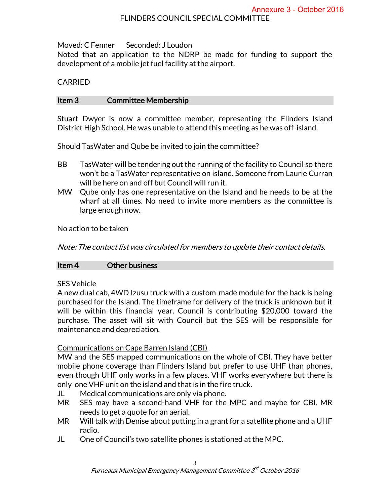Moved: C Fenner Seconded: J Loudon

Noted that an application to the NDRP be made for funding to support the development of a mobile jet fuel facility at the airport.

# CARRIED

# Item 3 Committee Membership

Stuart Dwyer is now a committee member, representing the Flinders Island District High School. He was unable to attend this meeting as he was off-island.

Should TasWater and Qube be invited to join the committee?

- BB TasWater will be tendering out the running of the facility to Council so there won't be a TasWater representative on island. Someone from Laurie Curran will be here on and off but Council will run it.
- MW Qube only has one representative on the Island and he needs to be at the wharf at all times. No need to invite more members as the committee is large enough now.

No action to be taken

Note: The contact list was circulated for members to update their contact details.

# Item 4 Other business

# SES Vehicle

A new dual cab, 4WD Izusu truck with a custom-made module for the back is being purchased for the Island. The timeframe for delivery of the truck is unknown but it will be within this financial year. Council is contributing \$20,000 toward the purchase. The asset will sit with Council but the SES will be responsible for maintenance and depreciation.

# Communications on Cape Barren Island (CBI)

MW and the SES mapped communications on the whole of CBI. They have better mobile phone coverage than Flinders Island but prefer to use UHF than phones, even though UHF only works in a few places. VHF works everywhere but there is only one VHF unit on the island and that is in the fire truck.

- JL Medical communications are only via phone.
- MR SES may have a second-hand VHF for the MPC and maybe for CBI. MR needs to get a quote for an aerial.
- MR Will talk with Denise about putting in a grant for a satellite phone and a UHF radio.
- JL One of Council's two satellite phones is stationed at the MPC.